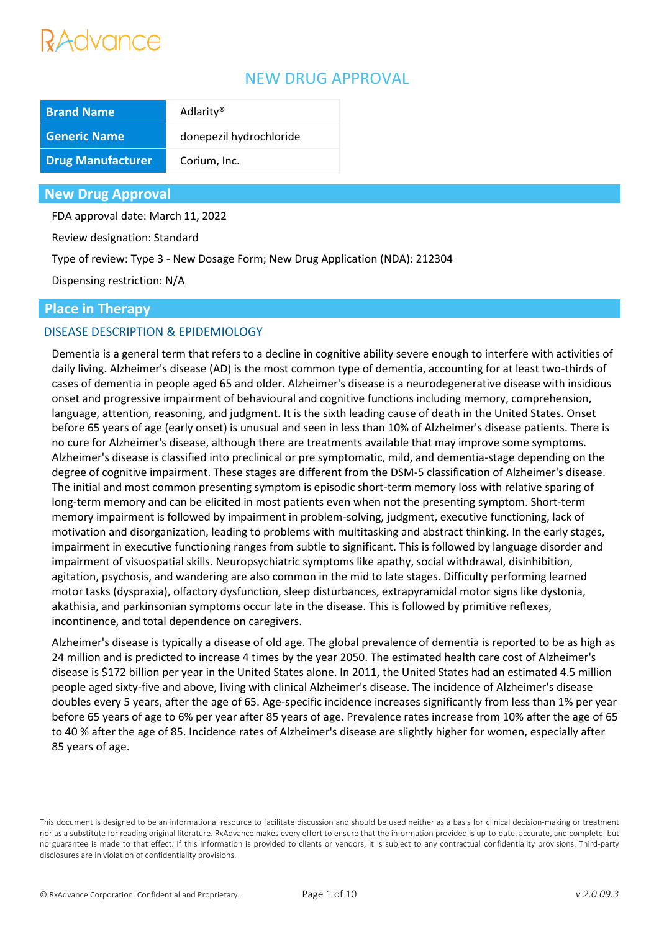# Advance

# NEW DRUG APPROVAL

| <b>Brand Name</b>        | Adlarity <sup>®</sup>   |
|--------------------------|-------------------------|
| <b>Generic Name</b>      | donepezil hydrochloride |
| <b>Drug Manufacturer</b> | Corium, Inc.            |

#### **New Drug Approval**

FDA approval date: March 11, 2022

Review designation: Standard

Type of review: Type 3 - New Dosage Form; New Drug Application (NDA): 212304

Dispensing restriction: N/A

#### **Place in Therapy**

#### DISEASE DESCRIPTION & EPIDEMIOLOGY

Dementia is a general term that refers to a decline in cognitive ability severe enough to interfere with activities of daily living. Alzheimer's disease (AD) is the most common type of dementia, accounting for at least two-thirds of cases of dementia in people aged 65 and older. Alzheimer's disease is a neurodegenerative disease with insidious onset and progressive impairment of behavioural and cognitive functions including memory, comprehension, language, attention, reasoning, and judgment. It is the sixth leading cause of death in the United States. Onset before 65 years of age (early onset) is unusual and seen in less than 10% of Alzheimer's disease patients. There is no cure for Alzheimer's disease, although there are treatments available that may improve some symptoms. Alzheimer's disease is classified into preclinical or pre symptomatic, mild, and dementia-stage depending on the degree of cognitive impairment. These stages are different from the DSM-5 classification of Alzheimer's disease. The initial and most common presenting symptom is episodic short-term memory loss with relative sparing of long-term memory and can be elicited in most patients even when not the presenting symptom. Short-term memory impairment is followed by impairment in problem-solving, judgment, executive functioning, lack of motivation and disorganization, leading to problems with multitasking and abstract thinking. In the early stages, impairment in executive functioning ranges from subtle to significant. This is followed by language disorder and impairment of visuospatial skills. Neuropsychiatric symptoms like apathy, social withdrawal, disinhibition, agitation, psychosis, and wandering are also common in the mid to late stages. Difficulty performing learned motor tasks (dyspraxia), olfactory dysfunction, sleep disturbances, extrapyramidal motor signs like dystonia, akathisia, and parkinsonian symptoms occur late in the disease. This is followed by primitive reflexes, incontinence, and total dependence on caregivers.

Alzheimer's disease is typically a disease of old age. The global prevalence of dementia is reported to be as high as 24 million and is predicted to increase 4 times by the year 2050. The estimated health care cost of Alzheimer's disease is \$172 billion per year in the United States alone. In 2011, the United States had an estimated 4.5 million people aged sixty-five and above, living with clinical Alzheimer's disease. The incidence of Alzheimer's disease doubles every 5 years, after the age of 65. Age-specific incidence increases significantly from less than 1% per year before 65 years of age to 6% per year after 85 years of age. Prevalence rates increase from 10% after the age of 65 to 40 % after the age of 85. Incidence rates of Alzheimer's disease are slightly higher for women, especially after 85 years of age.

This document is designed to be an informational resource to facilitate discussion and should be used neither as a basis for clinical decision-making or treatment nor as a substitute for reading original literature. RxAdvance makes every effort to ensure that the information provided is up-to-date, accurate, and complete, but no guarantee is made to that effect. If this information is provided to clients or vendors, it is subject to any contractual confidentiality provisions. Third-party disclosures are in violation of confidentiality provisions.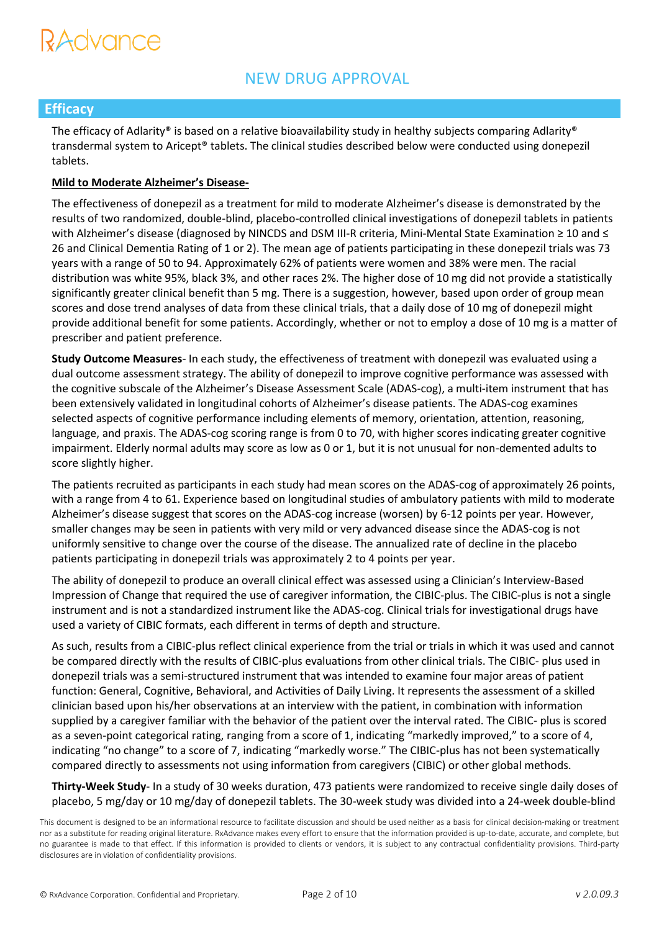# RAdvance

# NEW DRUG APPROVAL

### **Efficacy**

The efficacy of Adlarity® is based on a relative bioavailability study in healthy subjects comparing Adlarity® transdermal system to Aricept® tablets. The clinical studies described below were conducted using donepezil tablets.

#### **Mild to Moderate Alzheimer's Disease-**

The effectiveness of donepezil as a treatment for mild to moderate Alzheimer's disease is demonstrated by the results of two randomized, double-blind, placebo-controlled clinical investigations of donepezil tablets in patients with Alzheimer's disease (diagnosed by NINCDS and DSM III-R criteria, Mini-Mental State Examination ≥ 10 and ≤ 26 and Clinical Dementia Rating of 1 or 2). The mean age of patients participating in these donepezil trials was 73 years with a range of 50 to 94. Approximately 62% of patients were women and 38% were men. The racial distribution was white 95%, black 3%, and other races 2%. The higher dose of 10 mg did not provide a statistically significantly greater clinical benefit than 5 mg. There is a suggestion, however, based upon order of group mean scores and dose trend analyses of data from these clinical trials, that a daily dose of 10 mg of donepezil might provide additional benefit for some patients. Accordingly, whether or not to employ a dose of 10 mg is a matter of prescriber and patient preference.

**Study Outcome Measures**- In each study, the effectiveness of treatment with donepezil was evaluated using a dual outcome assessment strategy. The ability of donepezil to improve cognitive performance was assessed with the cognitive subscale of the Alzheimer's Disease Assessment Scale (ADAS-cog), a multi-item instrument that has been extensively validated in longitudinal cohorts of Alzheimer's disease patients. The ADAS-cog examines selected aspects of cognitive performance including elements of memory, orientation, attention, reasoning, language, and praxis. The ADAS-cog scoring range is from 0 to 70, with higher scores indicating greater cognitive impairment. Elderly normal adults may score as low as 0 or 1, but it is not unusual for non-demented adults to score slightly higher.

The patients recruited as participants in each study had mean scores on the ADAS-cog of approximately 26 points, with a range from 4 to 61. Experience based on longitudinal studies of ambulatory patients with mild to moderate Alzheimer's disease suggest that scores on the ADAS-cog increase (worsen) by 6-12 points per year. However, smaller changes may be seen in patients with very mild or very advanced disease since the ADAS-cog is not uniformly sensitive to change over the course of the disease. The annualized rate of decline in the placebo patients participating in donepezil trials was approximately 2 to 4 points per year.

The ability of donepezil to produce an overall clinical effect was assessed using a Clinician's Interview-Based Impression of Change that required the use of caregiver information, the CIBIC-plus. The CIBIC-plus is not a single instrument and is not a standardized instrument like the ADAS-cog. Clinical trials for investigational drugs have used a variety of CIBIC formats, each different in terms of depth and structure.

As such, results from a CIBIC-plus reflect clinical experience from the trial or trials in which it was used and cannot be compared directly with the results of CIBIC-plus evaluations from other clinical trials. The CIBIC- plus used in donepezil trials was a semi-structured instrument that was intended to examine four major areas of patient function: General, Cognitive, Behavioral, and Activities of Daily Living. It represents the assessment of a skilled clinician based upon his/her observations at an interview with the patient, in combination with information supplied by a caregiver familiar with the behavior of the patient over the interval rated. The CIBIC- plus is scored as a seven-point categorical rating, ranging from a score of 1, indicating "markedly improved," to a score of 4, indicating "no change" to a score of 7, indicating "markedly worse." The CIBIC-plus has not been systematically compared directly to assessments not using information from caregivers (CIBIC) or other global methods.

**Thirty-Week Study**- In a study of 30 weeks duration, 473 patients were randomized to receive single daily doses of placebo, 5 mg/day or 10 mg/day of donepezil tablets. The 30-week study was divided into a 24-week double-blind

This document is designed to be an informational resource to facilitate discussion and should be used neither as a basis for clinical decision-making or treatment nor as a substitute for reading original literature. RxAdvance makes every effort to ensure that the information provided is up-to-date, accurate, and complete, but no guarantee is made to that effect. If this information is provided to clients or vendors, it is subject to any contractual confidentiality provisions. Third-party disclosures are in violation of confidentiality provisions.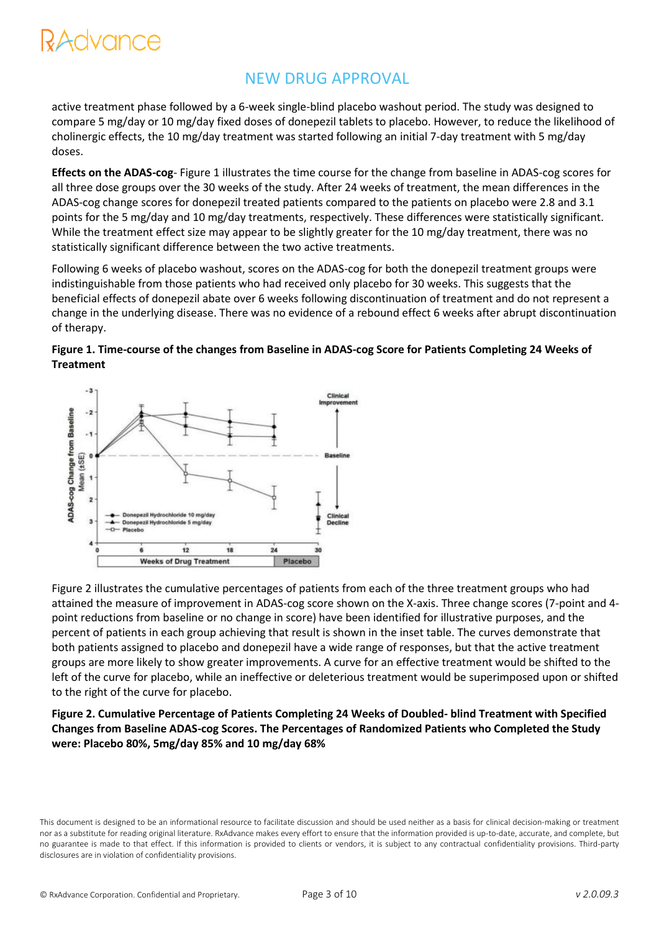# dvance

## NEW DRUG APPROVAL

active treatment phase followed by a 6-week single-blind placebo washout period. The study was designed to compare 5 mg/day or 10 mg/day fixed doses of donepezil tablets to placebo. However, to reduce the likelihood of cholinergic effects, the 10 mg/day treatment was started following an initial 7-day treatment with 5 mg/day doses.

**Effects on the ADAS-cog**- Figure 1 illustrates the time course for the change from baseline in ADAS-cog scores for all three dose groups over the 30 weeks of the study. After 24 weeks of treatment, the mean differences in the ADAS-cog change scores for donepezil treated patients compared to the patients on placebo were 2.8 and 3.1 points for the 5 mg/day and 10 mg/day treatments, respectively. These differences were statistically significant. While the treatment effect size may appear to be slightly greater for the 10 mg/day treatment, there was no statistically significant difference between the two active treatments.

Following 6 weeks of placebo washout, scores on the ADAS-cog for both the donepezil treatment groups were indistinguishable from those patients who had received only placebo for 30 weeks. This suggests that the beneficial effects of donepezil abate over 6 weeks following discontinuation of treatment and do not represent a change in the underlying disease. There was no evidence of a rebound effect 6 weeks after abrupt discontinuation of therapy.





Figure 2 illustrates the cumulative percentages of patients from each of the three treatment groups who had attained the measure of improvement in ADAS-cog score shown on the X-axis. Three change scores (7-point and 4 point reductions from baseline or no change in score) have been identified for illustrative purposes, and the percent of patients in each group achieving that result is shown in the inset table. The curves demonstrate that both patients assigned to placebo and donepezil have a wide range of responses, but that the active treatment groups are more likely to show greater improvements. A curve for an effective treatment would be shifted to the left of the curve for placebo, while an ineffective or deleterious treatment would be superimposed upon or shifted to the right of the curve for placebo.

#### **Figure 2. Cumulative Percentage of Patients Completing 24 Weeks of Doubled- blind Treatment with Specified Changes from Baseline ADAS-cog Scores. The Percentages of Randomized Patients who Completed the Study were: Placebo 80%, 5mg/day 85% and 10 mg/day 68%**

This document is designed to be an informational resource to facilitate discussion and should be used neither as a basis for clinical decision-making or treatment nor as a substitute for reading original literature. RxAdvance makes every effort to ensure that the information provided is up-to-date, accurate, and complete, but no guarantee is made to that effect. If this information is provided to clients or vendors, it is subject to any contractual confidentiality provisions. Third-party disclosures are in violation of confidentiality provisions.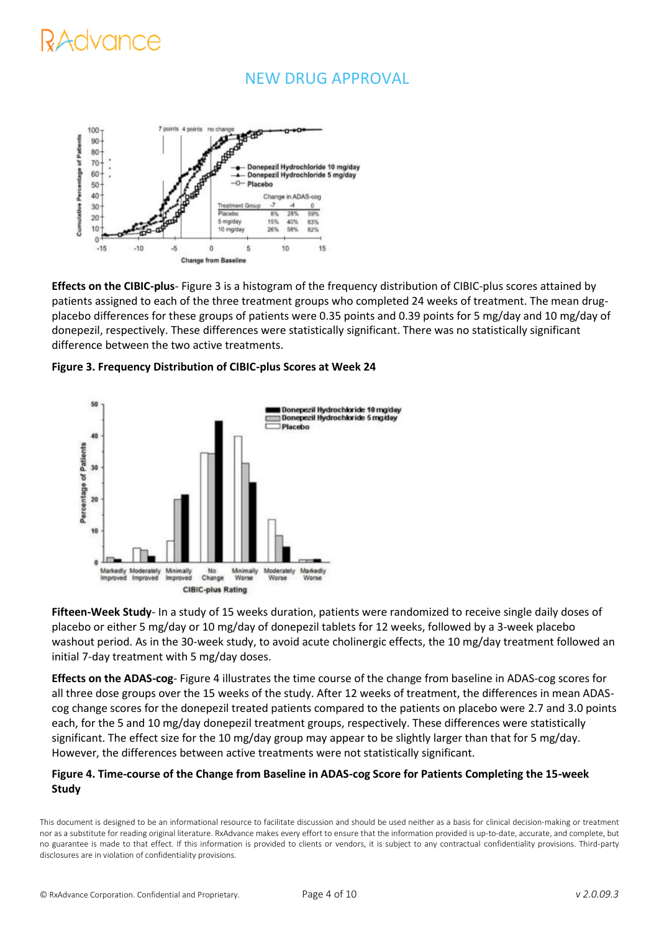# dvance

### NEW DRUG APPROVAL



**Effects on the CIBIC-plus**- Figure 3 is a histogram of the frequency distribution of CIBIC-plus scores attained by patients assigned to each of the three treatment groups who completed 24 weeks of treatment. The mean drugplacebo differences for these groups of patients were 0.35 points and 0.39 points for 5 mg/day and 10 mg/day of donepezil, respectively. These differences were statistically significant. There was no statistically significant difference between the two active treatments.





**Fifteen-Week Study**- In a study of 15 weeks duration, patients were randomized to receive single daily doses of placebo or either 5 mg/day or 10 mg/day of donepezil tablets for 12 weeks, followed by a 3-week placebo washout period. As in the 30-week study, to avoid acute cholinergic effects, the 10 mg/day treatment followed an initial 7-day treatment with 5 mg/day doses.

**Effects on the ADAS-cog**- Figure 4 illustrates the time course of the change from baseline in ADAS-cog scores for all three dose groups over the 15 weeks of the study. After 12 weeks of treatment, the differences in mean ADAScog change scores for the donepezil treated patients compared to the patients on placebo were 2.7 and 3.0 points each, for the 5 and 10 mg/day donepezil treatment groups, respectively. These differences were statistically significant. The effect size for the 10 mg/day group may appear to be slightly larger than that for 5 mg/day. However, the differences between active treatments were not statistically significant.

#### **Figure 4. Time-course of the Change from Baseline in ADAS-cog Score for Patients Completing the 15-week Study**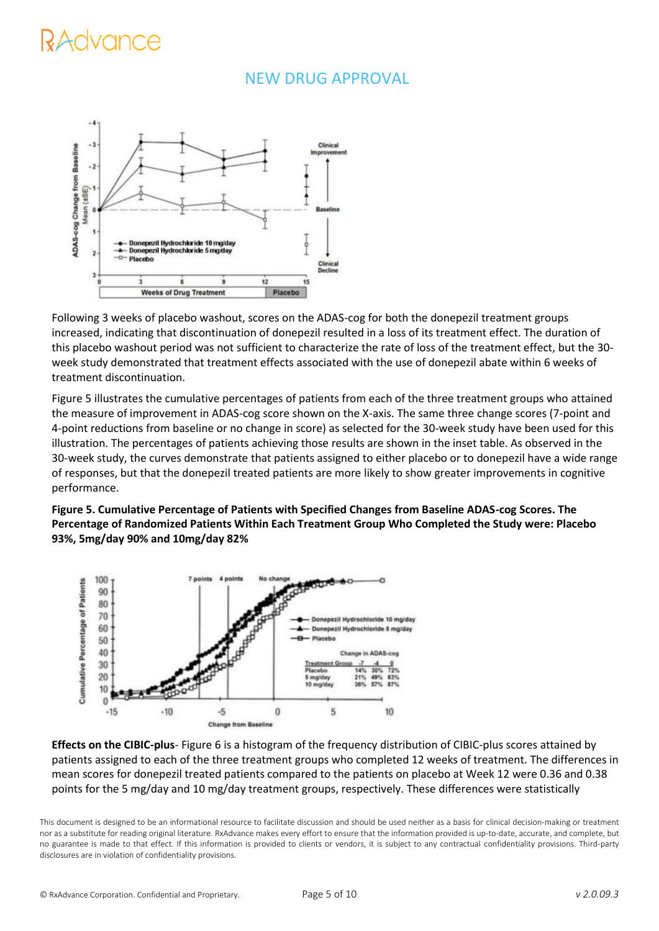# dvance

### NEW DRUG APPROVAL



Following 3 weeks of placebo washout, scores on the ADAS-cog for both the donepezil treatment groups increased, indicating that discontinuation of donepezil resulted in a loss of its treatment effect. The duration of this placebo washout period was not sufficient to characterize the rate of loss of the treatment effect, but the 30 week study demonstrated that treatment effects associated with the use of donepezil abate within 6 weeks of treatment discontinuation.

Figure 5 illustrates the cumulative percentages of patients from each of the three treatment groups who attained the measure of improvement in ADAS-cog score shown on the X-axis. The same three change scores (7-point and 4-point reductions from baseline or no change in score) as selected for the 30-week study have been used for this illustration. The percentages of patients achieving those results are shown in the inset table. As observed in the 30-week study, the curves demonstrate that patients assigned to either placebo or to donepezil have a wide range of responses, but that the donepezil treated patients are more likely to show greater improvements in cognitive performance.

**Figure 5. Cumulative Percentage of Patients with Specified Changes from Baseline ADAS-cog Scores. The Percentage of Randomized Patients Within Each Treatment Group Who Completed the Study were: Placebo 93%, 5mg/day 90% and 10mg/day 82%**



**Effects on the CIBIC-plus**- Figure 6 is a histogram of the frequency distribution of CIBIC-plus scores attained by patients assigned to each of the three treatment groups who completed 12 weeks of treatment. The differences in mean scores for donepezil treated patients compared to the patients on placebo at Week 12 were 0.36 and 0.38 points for the 5 mg/day and 10 mg/day treatment groups, respectively. These differences were statistically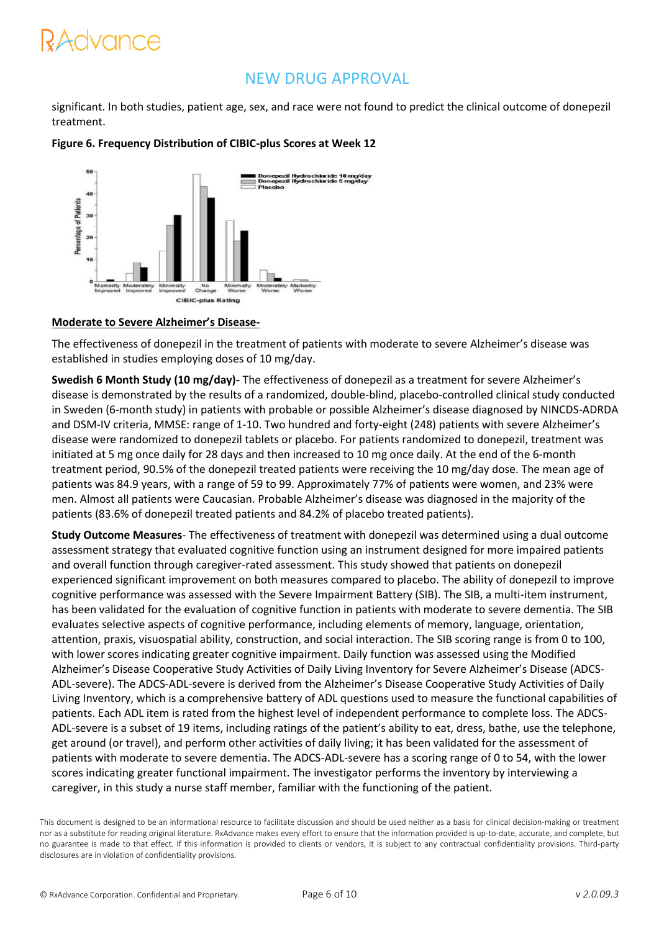# <del>r</del>dvance

### NEW DRUG APPROVAL

significant. In both studies, patient age, sex, and race were not found to predict the clinical outcome of donepezil treatment.



#### **Figure 6. Frequency Distribution of CIBIC-plus Scores at Week 12**

#### **Moderate to Severe Alzheimer's Disease-**

The effectiveness of donepezil in the treatment of patients with moderate to severe Alzheimer's disease was established in studies employing doses of 10 mg/day.

**Swedish 6 Month Study (10 mg/day)-** The effectiveness of donepezil as a treatment for severe Alzheimer's disease is demonstrated by the results of a randomized, double-blind, placebo-controlled clinical study conducted in Sweden (6-month study) in patients with probable or possible Alzheimer's disease diagnosed by NINCDS-ADRDA and DSM-IV criteria, MMSE: range of 1-10. Two hundred and forty-eight (248) patients with severe Alzheimer's disease were randomized to donepezil tablets or placebo. For patients randomized to donepezil, treatment was initiated at 5 mg once daily for 28 days and then increased to 10 mg once daily. At the end of the 6-month treatment period, 90.5% of the donepezil treated patients were receiving the 10 mg/day dose. The mean age of patients was 84.9 years, with a range of 59 to 99. Approximately 77% of patients were women, and 23% were men. Almost all patients were Caucasian. Probable Alzheimer's disease was diagnosed in the majority of the patients (83.6% of donepezil treated patients and 84.2% of placebo treated patients).

**Study Outcome Measures**- The effectiveness of treatment with donepezil was determined using a dual outcome assessment strategy that evaluated cognitive function using an instrument designed for more impaired patients and overall function through caregiver-rated assessment. This study showed that patients on donepezil experienced significant improvement on both measures compared to placebo. The ability of donepezil to improve cognitive performance was assessed with the Severe Impairment Battery (SIB). The SIB, a multi-item instrument, has been validated for the evaluation of cognitive function in patients with moderate to severe dementia. The SIB evaluates selective aspects of cognitive performance, including elements of memory, language, orientation, attention, praxis, visuospatial ability, construction, and social interaction. The SIB scoring range is from 0 to 100, with lower scores indicating greater cognitive impairment. Daily function was assessed using the Modified Alzheimer's Disease Cooperative Study Activities of Daily Living Inventory for Severe Alzheimer's Disease (ADCS-ADL-severe). The ADCS-ADL-severe is derived from the Alzheimer's Disease Cooperative Study Activities of Daily Living Inventory, which is a comprehensive battery of ADL questions used to measure the functional capabilities of patients. Each ADL item is rated from the highest level of independent performance to complete loss. The ADCS-ADL-severe is a subset of 19 items, including ratings of the patient's ability to eat, dress, bathe, use the telephone, get around (or travel), and perform other activities of daily living; it has been validated for the assessment of patients with moderate to severe dementia. The ADCS-ADL-severe has a scoring range of 0 to 54, with the lower scores indicating greater functional impairment. The investigator performs the inventory by interviewing a caregiver, in this study a nurse staff member, familiar with the functioning of the patient.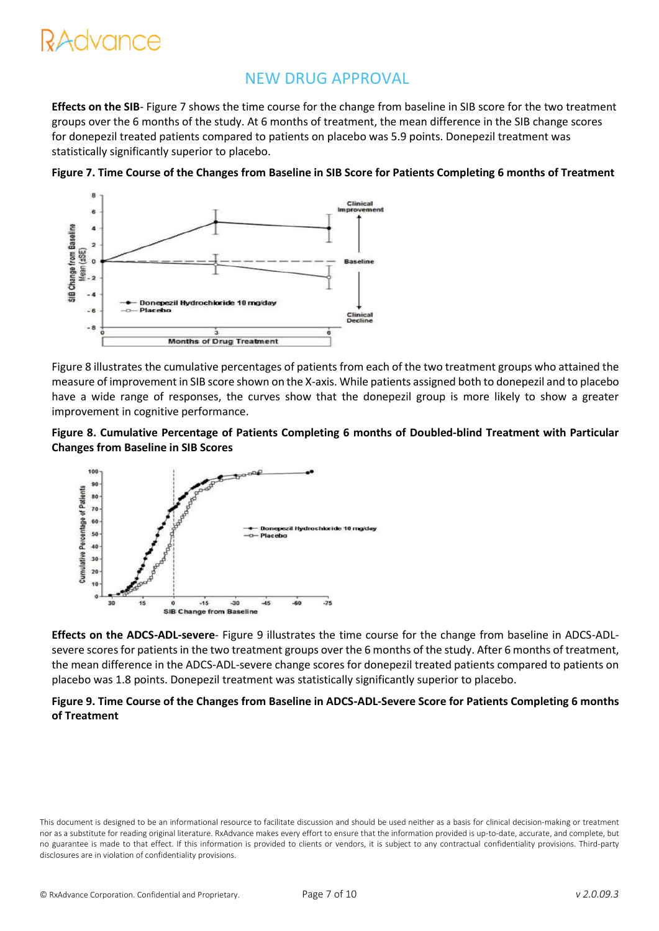# RAdvance

### NEW DRUG APPROVAL

**Effects on the SIB**- Figure 7 shows the time course for the change from baseline in SIB score for the two treatment groups over the 6 months of the study. At 6 months of treatment, the mean difference in the SIB change scores for donepezil treated patients compared to patients on placebo was 5.9 points. Donepezil treatment was statistically significantly superior to placebo.



**Figure 7. Time Course of the Changes from Baseline in SIB Score for Patients Completing 6 months of Treatment**

Figure 8 illustrates the cumulative percentages of patients from each of the two treatment groups who attained the measure of improvement in SIB score shown on the X-axis. While patients assigned both to donepezil and to placebo have a wide range of responses, the curves show that the donepezil group is more likely to show a greater improvement in cognitive performance.





**Effects on the ADCS-ADL-severe**- Figure 9 illustrates the time course for the change from baseline in ADCS-ADLsevere scores for patients in the two treatment groups over the 6 months of the study. After 6 months of treatment, the mean difference in the ADCS-ADL-severe change scores for donepezil treated patients compared to patients on placebo was 1.8 points. Donepezil treatment was statistically significantly superior to placebo.

#### **Figure 9. Time Course of the Changes from Baseline in ADCS-ADL-Severe Score for Patients Completing 6 months of Treatment**

This document is designed to be an informational resource to facilitate discussion and should be used neither as a basis for clinical decision-making or treatment nor as a substitute for reading original literature. RxAdvance makes every effort to ensure that the information provided is up-to-date, accurate, and complete, but no guarantee is made to that effect. If this information is provided to clients or vendors, it is subject to any contractual confidentiality provisions. Third-party disclosures are in violation of confidentiality provisions.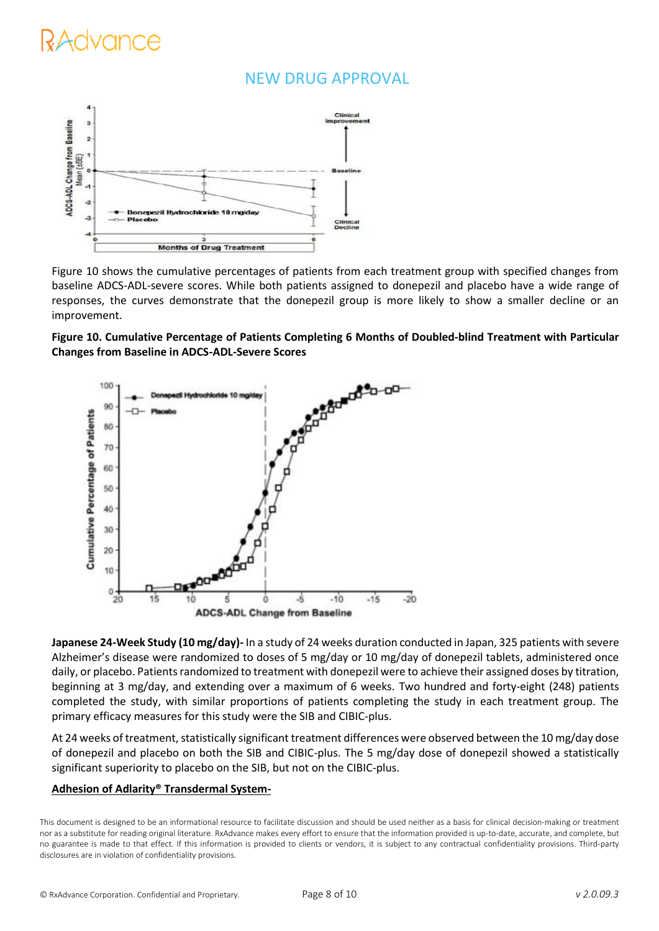### NEW DRUG APPROVAL



Figure 10 shows the cumulative percentages of patients from each treatment group with specified changes from baseline ADCS-ADL-severe scores. While both patients assigned to donepezil and placebo have a wide range of responses, the curves demonstrate that the donepezil group is more likely to show a smaller decline or an improvement.





**Japanese 24-Week Study (10 mg/day)-** In a study of 24 weeks duration conducted in Japan, 325 patients with severe Alzheimer's disease were randomized to doses of 5 mg/day or 10 mg/day of donepezil tablets, administered once daily, or placebo. Patients randomized to treatment with donepezil were to achieve their assigned doses by titration, beginning at 3 mg/day, and extending over a maximum of 6 weeks. Two hundred and forty-eight (248) patients completed the study, with similar proportions of patients completing the study in each treatment group. The primary efficacy measures for this study were the SIB and CIBIC-plus.

At 24 weeks of treatment, statistically significant treatment differences were observed between the 10 mg/day dose of donepezil and placebo on both the SIB and CIBIC-plus. The 5 mg/day dose of donepezil showed a statistically significant superiority to placebo on the SIB, but not on the CIBIC-plus.

#### **Adhesion of Adlarity® Transdermal System-**

This document is designed to be an informational resource to facilitate discussion and should be used neither as a basis for clinical decision-making or treatment nor as a substitute for reading original literature. RxAdvance makes every effort to ensure that the information provided is up-to-date, accurate, and complete, but no guarantee is made to that effect. If this information is provided to clients or vendors, it is subject to any contractual confidentiality provisions. Third-party disclosures are in violation of confidentiality provisions.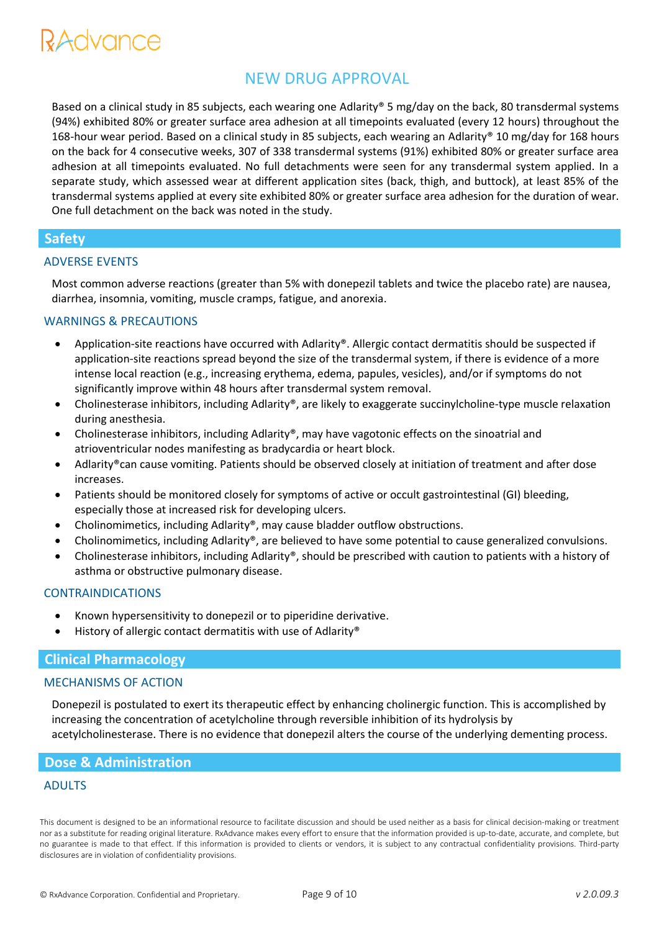# **?Advance**

### NEW DRUG APPROVAL

Based on a clinical study in 85 subjects, each wearing one Adlarity® 5 mg/day on the back, 80 transdermal systems (94%) exhibited 80% or greater surface area adhesion at all timepoints evaluated (every 12 hours) throughout the 168-hour wear period. Based on a clinical study in 85 subjects, each wearing an Adlarity® 10 mg/day for 168 hours on the back for 4 consecutive weeks, 307 of 338 transdermal systems (91%) exhibited 80% or greater surface area adhesion at all timepoints evaluated. No full detachments were seen for any transdermal system applied. In a separate study, which assessed wear at different application sites (back, thigh, and buttock), at least 85% of the transdermal systems applied at every site exhibited 80% or greater surface area adhesion for the duration of wear. One full detachment on the back was noted in the study.

#### **Safety**

#### ADVERSE EVENTS

Most common adverse reactions (greater than 5% with donepezil tablets and twice the placebo rate) are nausea, diarrhea, insomnia, vomiting, muscle cramps, fatigue, and anorexia.

#### WARNINGS & PRECAUTIONS

- Application-site reactions have occurred with Adlarity®. Allergic contact dermatitis should be suspected if application-site reactions spread beyond the size of the transdermal system, if there is evidence of a more intense local reaction (e.g., increasing erythema, edema, papules, vesicles), and/or if symptoms do not significantly improve within 48 hours after transdermal system removal.
- Cholinesterase inhibitors, including Adlarity®, are likely to exaggerate succinylcholine-type muscle relaxation during anesthesia.
- Cholinesterase inhibitors, including Adlarity®, may have vagotonic effects on the sinoatrial and atrioventricular nodes manifesting as bradycardia or heart block.
- Adlarity®can cause vomiting. Patients should be observed closely at initiation of treatment and after dose increases.
- Patients should be monitored closely for symptoms of active or occult gastrointestinal (GI) bleeding, especially those at increased risk for developing ulcers.
- Cholinomimetics, including Adlarity®, may cause bladder outflow obstructions.
- Cholinomimetics, including Adlarity®, are believed to have some potential to cause generalized convulsions.
- Cholinesterase inhibitors, including Adlarity®, should be prescribed with caution to patients with a history of asthma or obstructive pulmonary disease.

#### CONTRAINDICATIONS

- Known hypersensitivity to donepezil or to piperidine derivative.
- History of allergic contact dermatitis with use of Adlarity®

#### **Clinical Pharmacology**

#### MECHANISMS OF ACTION

Donepezil is postulated to exert its therapeutic effect by enhancing cholinergic function. This is accomplished by increasing the concentration of acetylcholine through reversible inhibition of its hydrolysis by acetylcholinesterase. There is no evidence that donepezil alters the course of the underlying dementing process.

#### **Dose & Administration**

#### ADULTS